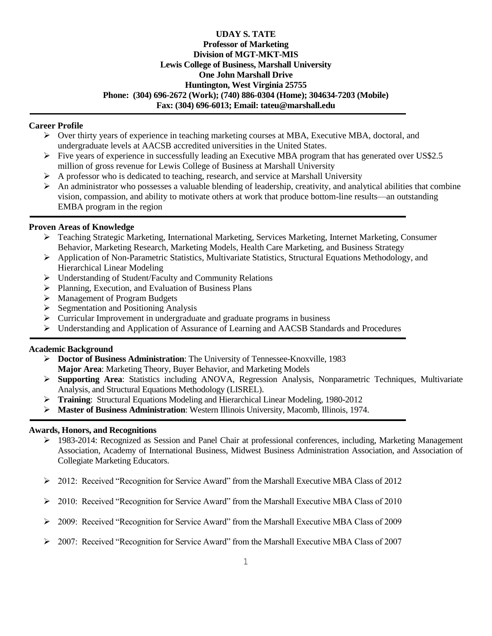## **UDAY S. TATE Professor of Marketing Division of MGT-MKT-MIS Lewis College of Business, Marshall University One John Marshall Drive Huntington, West Virginia 25755 Phone: (304) 696-2672 (Work); (740) 886-0304 (Home); 304634-7203 (Mobile) Fax: (304) 696-6013; Email: tateu@marshall.edu**

#### **Career Profile**

- $\triangleright$  Over thirty years of experience in teaching marketing courses at MBA, Executive MBA, doctoral, and undergraduate levels at AACSB accredited universities in the United States.
- $\triangleright$  Five years of experience in successfully leading an Executive MBA program that has generated over US\$2.5 million of gross revenue for Lewis College of Business at Marshall University
- $\triangleright$  A professor who is dedicated to teaching, research, and service at Marshall University
- An administrator who possesses a valuable blending of leadership, creativity, and analytical abilities that combine vision, compassion, and ability to motivate others at work that produce bottom-line results—an outstanding EMBA program in the region

### **Proven Areas of Knowledge**

- Teaching Strategic Marketing, International Marketing, Services Marketing, Internet Marketing, Consumer Behavior, Marketing Research, Marketing Models, Health Care Marketing, and Business Strategy
- Application of Non-Parametric Statistics, Multivariate Statistics, Structural Equations Methodology, and Hierarchical Linear Modeling
- Understanding of Student/Faculty and Community Relations
- Planning, Execution, and Evaluation of Business Plans
- Management of Program Budgets
- $\triangleright$  Segmentation and Positioning Analysis
- $\triangleright$  Curricular Improvement in undergraduate and graduate programs in business
- $\triangleright$  Understanding and Application of Assurance of Learning and AACSB Standards and Procedures

#### **Academic Background**

- **Doctor of Business Administration**: The University of Tennessee-Knoxville, 1983 **Major Area**: Marketing Theory, Buyer Behavior, and Marketing Models
- **Supporting Area**: Statistics including ANOVA, Regression Analysis, Nonparametric Techniques, Multivariate Analysis, and Structural Equations Methodology (LISREL).
- **Training**: Structural Equations Modeling and Hierarchical Linear Modeling, 1980-2012
- **Master of Business Administration**: Western Illinois University, Macomb, Illinois, 1974.

#### **Awards, Honors, and Recognitions**

- 1983-2014: Recognized as Session and Panel Chair at professional conferences, including, Marketing Management Association, Academy of International Business, Midwest Business Administration Association, and Association of Collegiate Marketing Educators.
- $\geq 2012$ : Received "Recognition for Service Award" from the Marshall Executive MBA Class of 2012
- $\geq 2010$ : Received "Recognition for Service Award" from the Marshall Executive MBA Class of 2010
- $\geq$  2009: Received "Recognition for Service Award" from the Marshall Executive MBA Class of 2009
- $\geq 2007$ : Received "Recognition for Service Award" from the Marshall Executive MBA Class of 2007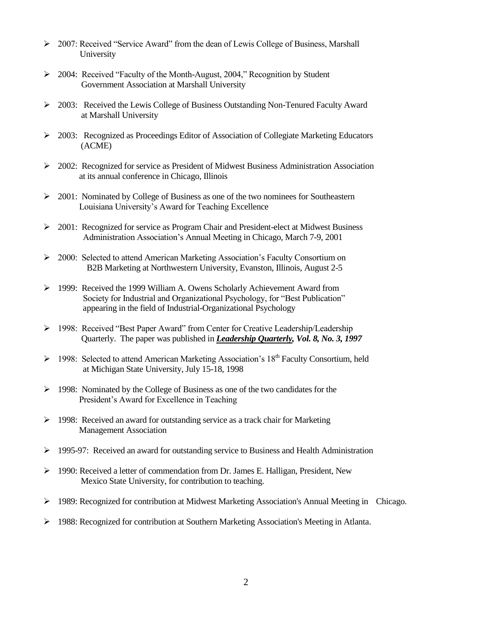- $\geq 2007$ : Received "Service Award" from the dean of Lewis College of Business, Marshall University
- ▶ 2004: Received "Faculty of the Month-August, 2004," Recognition by Student Government Association at Marshall University
- $\geq$  2003: Received the Lewis College of Business Outstanding Non-Tenured Faculty Award at Marshall University
- 2003: Recognized as Proceedings Editor of Association of Collegiate Marketing Educators (ACME)
- $\geq$  2002: Recognized for service as President of Midwest Business Administration Association at its annual conference in Chicago, Illinois
- $\geq 2001$ : Nominated by College of Business as one of the two nominees for Southeastern Louisiana University's Award for Teaching Excellence
- $\geq 2001$ : Recognized for service as Program Chair and President-elect at Midwest Business Administration Association's Annual Meeting in Chicago, March 7-9, 2001
- 2000: Selected to attend American Marketing Association's Faculty Consortium on B2B Marketing at Northwestern University, Evanston, Illinois, August 2-5
- $\geq$  1999: Received the 1999 William A. Owens Scholarly Achievement Award from Society for Industrial and Organizational Psychology, for "Best Publication" appearing in the field of Industrial-Organizational Psychology
- ▶ 1998: Received "Best Paper Award" from Center for Creative Leadership/Leadership Quarterly. The paper was published in *Leadership Quarterly, Vol. 8, No. 3, 1997*
- $\triangleright$  1998: Selected to attend American Marketing Association's 18<sup>th</sup> Faculty Consortium, held at Michigan State University, July 15-18, 1998
- $\triangleright$  1998: Nominated by the College of Business as one of the two candidates for the President's Award for Excellence in Teaching
- 1998: Received an award for outstanding service as a track chair for Marketing Management Association
- 1995-97: Received an award for outstanding service to Business and Health Administration
- $\triangleright$  1990: Received a letter of commendation from Dr. James E. Halligan, President, New Mexico State University, for contribution to teaching.
- $\geq$  1989: Recognized for contribution at Midwest Marketing Association's Annual Meeting in Chicago.
- 1988: Recognized for contribution at Southern Marketing Association's Meeting in Atlanta.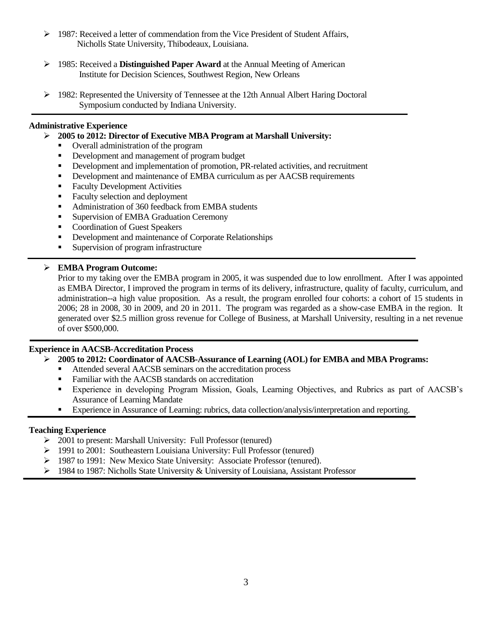- $\triangleright$  1987: Received a letter of commendation from the Vice President of Student Affairs, Nicholls State University, Thibodeaux, Louisiana.
- 1985: Received a **Distinguished Paper Award** at the Annual Meeting of American Institute for Decision Sciences, Southwest Region, New Orleans
- $\geq$  1982: Represented the University of Tennessee at the 12th Annual Albert Haring Doctoral Symposium conducted by Indiana University.

## **Administrative Experience**

- **2005 to 2012: Director of Executive MBA Program at Marshall University:**
	- Overall administration of the program
	- Development and management of program budget
	- Development and implementation of promotion, PR-related activities, and recruitment
	- Development and maintenance of EMBA curriculum as per AACSB requirements
	- Faculty Development Activities
	- Faculty selection and deployment
	- Administration of 360 feedback from EMBA students
	- **Supervision of EMBA Graduation Ceremony**
	- **Coordination of Guest Speakers**
	- **•** Development and maintenance of Corporate Relationships
	- Supervision of program infrastructure

## **EMBA Program Outcome:**

Prior to my taking over the EMBA program in 2005, it was suspended due to low enrollment. After I was appointed as EMBA Director, I improved the program in terms of its delivery, infrastructure, quality of faculty, curriculum, and administration--a high value proposition. As a result, the program enrolled four cohorts: a cohort of 15 students in 2006; 28 in 2008, 30 in 2009, and 20 in 2011. The program was regarded as a show-case EMBA in the region. It generated over \$2.5 million gross revenue for College of Business, at Marshall University, resulting in a net revenue of over \$500,000.

### **Experience in AACSB-Accreditation Process**

- **2005 to 2012: Coordinator of AACSB-Assurance of Learning (AOL) for EMBA and MBA Programs:**
	- Attended several AACSB seminars on the accreditation process
	- **Familiar with the AACSB standards on accreditation**
	- Experience in developing Program Mission, Goals, Learning Objectives, and Rubrics as part of AACSB's Assurance of Learning Mandate
	- Experience in Assurance of Learning: rubrics, data collection/analysis/interpretation and reporting.

## **Teaching Experience**

- 2001 to present: Marshall University: Full Professor (tenured)
- 1991 to 2001: Southeastern Louisiana University: Full Professor (tenured)
- 1987 to 1991: New Mexico State University: Associate Professor (tenured).
- $\triangleright$  1984 to 1987: Nicholls State University & University of Louisiana, Assistant Professor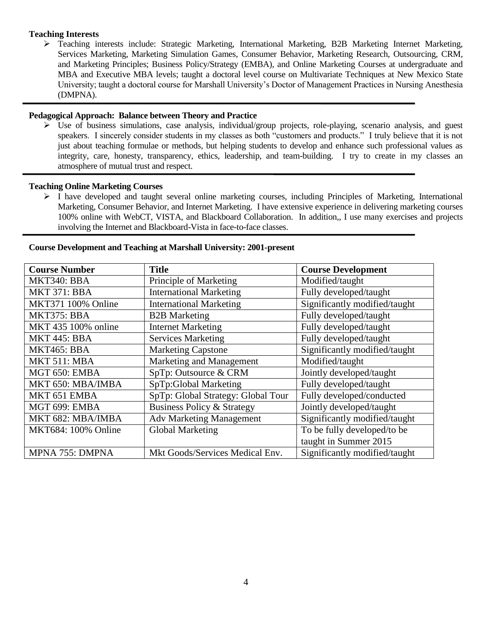#### **Teaching Interests**

 Teaching interests include: Strategic Marketing, International Marketing, B2B Marketing Internet Marketing, Services Marketing, Marketing Simulation Games, Consumer Behavior, Marketing Research, Outsourcing, CRM, and Marketing Principles; Business Policy/Strategy (EMBA), and Online Marketing Courses at undergraduate and MBA and Executive MBA levels; taught a doctoral level course on Multivariate Techniques at New Mexico State University; taught a doctoral course for Marshall University's Doctor of Management Practices in Nursing Anesthesia (DMPNA).

#### **Pedagogical Approach: Balance between Theory and Practice**

 Use of business simulations, case analysis, individual/group projects, role-playing, scenario analysis, and guest speakers. I sincerely consider students in my classes as both "customers and products." I truly believe that it is not just about teaching formulae or methods, but helping students to develop and enhance such professional values as integrity, care, honesty, transparency, ethics, leadership, and team-building. I try to create in my classes an atmosphere of mutual trust and respect.

#### **Teaching Online Marketing Courses**

 $\triangleright$  I have developed and taught several online marketing courses, including Principles of Marketing, International Marketing, Consumer Behavior, and Internet Marketing. I have extensive experience in delivering marketing courses 100% online with WebCT, VISTA, and Blackboard Collaboration. In addition,, I use many exercises and projects involving the Internet and Blackboard-Vista in face-to-face classes.

| <b>Course Number</b> | <b>Title</b>                          | <b>Course Development</b>     |
|----------------------|---------------------------------------|-------------------------------|
| MKT340: BBA          | Principle of Marketing                | Modified/taught               |
| <b>MKT 371: BBA</b>  | <b>International Marketing</b>        | Fully developed/taught        |
| MKT371 100% Online   | <b>International Marketing</b>        | Significantly modified/taught |
| MKT375: BBA          | <b>B2B</b> Marketing                  | Fully developed/taught        |
| MKT 435 100% online  | <b>Internet Marketing</b>             | Fully developed/taught        |
| <b>MKT 445: BBA</b>  | <b>Services Marketing</b>             | Fully developed/taught        |
| MKT465: BBA          | <b>Marketing Capstone</b>             | Significantly modified/taught |
| MKT 511: MBA         | Marketing and Management              | Modified/taught               |
| MGT 650: EMBA        | SpTp: Outsource & CRM                 | Jointly developed/taught      |
| MKT 650: MBA/IMBA    | SpTp:Global Marketing                 | Fully developed/taught        |
| MKT 651 EMBA         | SpTp: Global Strategy: Global Tour    | Fully developed/conducted     |
| MGT 699: EMBA        | <b>Business Policy &amp; Strategy</b> | Jointly developed/taught      |
| MKT 682: MBA/IMBA    | <b>Adv Marketing Management</b>       | Significantly modified/taught |
| MKT684: 100% Online  | Global Marketing                      | To be fully developed/to be   |
|                      |                                       | taught in Summer 2015         |
| MPNA 755: DMPNA      | Mkt Goods/Services Medical Env.       | Significantly modified/taught |

#### **Course Development and Teaching at Marshall University: 2001-present**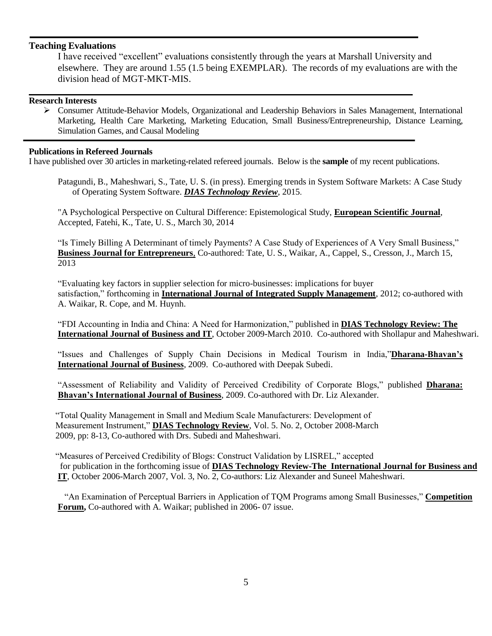## **Teaching Evaluations**

I have received "excellent" evaluations consistently through the years at Marshall University and elsewhere. They are around 1.55 (1.5 being EXEMPLAR). The records of my evaluations are with the division head of MGT-MKT-MIS.

#### **Research Interests**

 Consumer Attitude-Behavior Models, Organizational and Leadership Behaviors in Sales Management, International Marketing, Health Care Marketing, Marketing Education, Small Business/Entrepreneurship, Distance Learning, Simulation Games, and Causal Modeling

#### **Publications in Refereed Journals**

I have published over 30 articles in marketing-related refereed journals. Below is the **sample** of my recent publications.

Patagundi, B., Maheshwari, S., Tate, U. S. (in press). Emerging trends in System Software Markets: A Case Study of Operating System Software. *DIAS Technology Review*, 2015.

"A Psychological Perspective on Cultural Difference: Epistemological Study, **European Scientific Journal**, Accepted, Fatehi, K., Tate, U. S., March 30, 2014

"Is Timely Billing A Determinant of timely Payments? A Case Study of Experiences of A Very Small Business," **Business Journal for Entrepreneurs**, Co-authored: Tate, U. S., Waikar, A., Cappel, S., Cresson, J., March 15, 2013

―Evaluating key factors in supplier selection for micro-businesses: implications for buyer satisfaction," forthcoming in **International Journal of Integrated Supply Management**, 2012; co-authored with A. Waikar, R. Cope, and M. Huynh.

―FDI Accounting in India and China: A Need for Harmonization,‖ published in **DIAS Technology Review: The International Journal of Business and IT**, October 2009-March 2010. Co-authored with Shollapur and Maheshwari.

―Issues and Challenges of Supply Chain Decisions in Medical Tourism in India,‖**Dharana-Bhavan's International Journal of Business**, 2009. Co-authored with Deepak Subedi.

"Assessment of Reliability and Validity of Perceived Credibility of Corporate Blogs," published **Dharana: Bhavan's International Journal of Business**, 2009. Co-authored with Dr. Liz Alexander.

 ―Total Quality Management in Small and Medium Scale Manufacturers: Development of Measurement Instrument," **DIAS Technology Review**, Vol. 5. No. 2, October 2008-March 2009, pp: 8-13, Co-authored with Drs. Subedi and Maheshwari.

"Measures of Perceived Credibility of Blogs: Construct Validation by LISREL," accepted for publication in the forthcoming issue of **DIAS Technology Review-The International Journal for Business and IT**, October 2006-March 2007, Vol. 3, No. 2, Co-authors: Liz Alexander and Suneel Maheshwari.

"An Examination of Perceptual Barriers in Application of TQM Programs among Small Businesses," Competition **Forum,** Co-authored with A. Waikar; published in 2006- 07 issue.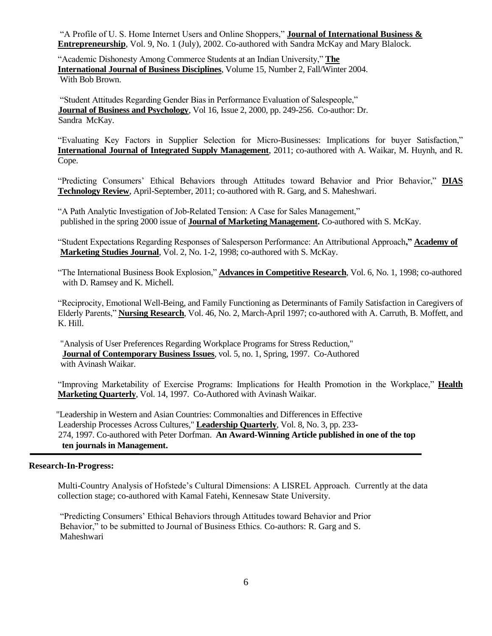"A Profile of U. S. Home Internet Users and Online Shoppers," **Journal of International Business & Entrepreneurship**, Vol. 9, No. 1 (July), 2002. Co-authored with Sandra McKay and Mary Blalock.

"Academic Dishonesty Among Commerce Students at an Indian University," The **International Journal of Business Disciplines**, Volume 15, Number 2, Fall/Winter 2004. With Bob Brown.

"Student Attitudes Regarding Gender Bias in Performance Evaluation of Salespeople." **Journal of Business and Psychology**, Vol 16, Issue 2, 2000, pp. 249-256. Co-author: Dr. Sandra McKay.

"Evaluating Key Factors in Supplier Selection for Micro-Businesses: Implications for buyer Satisfaction," **International Journal of Integrated Supply Management**, 2011; co-authored with A. Waikar, M. Huynh, and R. Cope.

―Predicting Consumers' Ethical Behaviors through Attitudes toward Behavior and Prior Behavior,‖ **DIAS Technology Review**, April-September, 2011; co-authored with R. Garg, and S. Maheshwari.

"A Path Analytic Investigation of Job-Related Tension: A Case for Sales Management," published in the spring 2000 issue of **Journal of Marketing Management.** Co-authored with S. McKay.

―Student Expectations Regarding Responses of Salesperson Performance: An Attributional Approach**," Academy of Marketing Studies Journal**, Vol. 2, No. 1-2, 1998; co-authored with S. McKay.

"The International Business Book Explosion," Advances in Competitive Research, Vol. 6, No. 1, 1998; co-authored with D. Ramsey and K. Michell.

―Reciprocity, Emotional Well-Being, and Family Functioning as Determinants of Family Satisfaction in Caregivers of Elderly Parents,‖ **Nursing Research**, Vol. 46, No. 2, March-April 1997; co-authored with A. Carruth, B. Moffett, and K. Hill.

 "Analysis of User Preferences Regarding Workplace Programs for Stress Reduction,"  **Journal of Contemporary Business Issues**, vol. 5, no. 1, Spring, 1997. Co-Authored with Avinash Waikar.

"Improving Marketability of Exercise Programs: Implications for Health Promotion in the Workplace," **Health Marketing Quarterly**, Vol. 14, 1997. Co-Authored with Avinash Waikar.

 "Leadership in Western and Asian Countries: Commonalties and Differences in Effective Leadership Processes Across Cultures," **Leadership Quarterly**, Vol. 8, No. 3, pp. 233- 274, 1997. Co-authored with Peter Dorfman. **An Award-Winning Article published in one of the top ten journals in Management.**

## **Research-In-Progress:**

Multi-Country Analysis of Hofstede's Cultural Dimensions: A LISREL Approach. Currently at the data collection stage; co-authored with Kamal Fatehi, Kennesaw State University.

―Predicting Consumers' Ethical Behaviors through Attitudes toward Behavior and Prior Behavior," to be submitted to Journal of Business Ethics. Co-authors: R. Garg and S. Maheshwari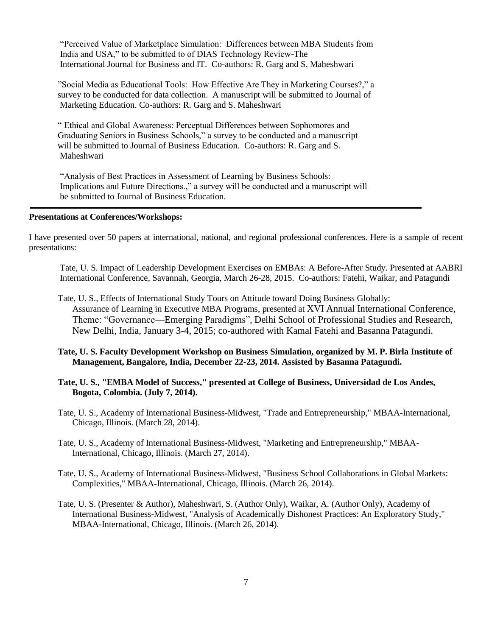―Perceived Value of Marketplace Simulation: Differences between MBA Students from India and USA," to be submitted to of DIAS Technology Review-The International Journal for Business and IT. Co-authors: R. Garg and S. Maheshwari

"Social Media as Educational Tools: How Effective Are They in Marketing Courses?," a survey to be conducted for data collection. A manuscript will be submitted to Journal of Marketing Education. Co-authors: R. Garg and S. Maheshwari

― Ethical and Global Awareness: Perceptual Differences between Sophomores and Graduating Seniors in Business Schools," a survey to be conducted and a manuscript will be submitted to Journal of Business Education. Co-authors: R. Garg and S. Maheshwari

"Analysis of Best Practices in Assessment of Learning by Business Schools: Implications and Future Directions.," a survey will be conducted and a manuscript will be submitted to Journal of Business Education.

#### **Presentations at Conferences/Workshops:**

I have presented over 50 papers at international, national, and regional professional conferences. Here is a sample of recent presentations:

 Tate, U. S. Impact of Leadership Development Exercises on EMBAs: A Before-After Study. Presented at AABRI International Conference, Savannah, Georgia, March 26-28, 2015. Co-authors: Fatehi, Waikar, and Patagundi

- Tate, U. S., Effects of International Study Tours on Attitude toward Doing Business Globally: Assurance of Learning in Executive MBA Programs, presented at XVI Annual International Conference, Theme: "Governance—Emerging Paradigms", Delhi School of Professional Studies and Research, New Delhi, India, January 3-4, 2015; co-authored with Kamal Fatehi and Basanna Patagundi.
- **Tate, U. S. Faculty Development Workshop on Business Simulation, organized by M. P. Birla Institute of Management, Bangalore, India, December 22-23, 2014. Assisted by Basanna Patagundi.**
- **Tate, U. S., "EMBA Model of Success," presented at College of Business, Universidad de Los Andes, Bogota, Colombia. (July 7, 2014).**
- Tate, U. S., Academy of International Business-Midwest, "Trade and Entrepreneurship," MBAA-International, Chicago, Illinois. (March 28, 2014).

Tate, U. S., Academy of International Business-Midwest, "Marketing and Entrepreneurship," MBAA-International, Chicago, Illinois. (March 27, 2014).

- Tate, U. S., Academy of International Business-Midwest, "Business School Collaborations in Global Markets: Complexities," MBAA-International, Chicago, Illinois. (March 26, 2014).
- Tate, U. S. (Presenter & Author), Maheshwari, S. (Author Only), Waikar, A. (Author Only), Academy of International Business-Midwest, "Analysis of Academically Dishonest Practices: An Exploratory Study," MBAA-International, Chicago, Illinois. (March 26, 2014).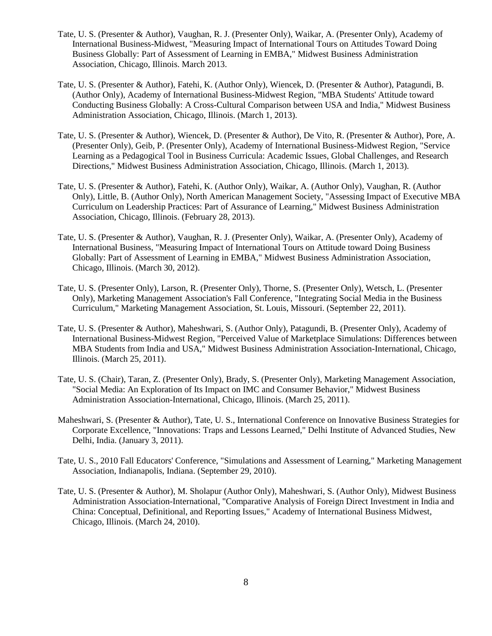- Tate, U. S. (Presenter & Author), Vaughan, R. J. (Presenter Only), Waikar, A. (Presenter Only), Academy of International Business-Midwest, "Measuring Impact of International Tours on Attitudes Toward Doing Business Globally: Part of Assessment of Learning in EMBA," Midwest Business Administration Association, Chicago, Illinois. March 2013.
- Tate, U. S. (Presenter & Author), Fatehi, K. (Author Only), Wiencek, D. (Presenter & Author), Patagundi, B. (Author Only), Academy of International Business-Midwest Region, "MBA Students' Attitude toward Conducting Business Globally: A Cross-Cultural Comparison between USA and India," Midwest Business Administration Association, Chicago, Illinois. (March 1, 2013).
- Tate, U. S. (Presenter & Author), Wiencek, D. (Presenter & Author), De Vito, R. (Presenter & Author), Pore, A. (Presenter Only), Geib, P. (Presenter Only), Academy of International Business-Midwest Region, "Service Learning as a Pedagogical Tool in Business Curricula: Academic Issues, Global Challenges, and Research Directions," Midwest Business Administration Association, Chicago, Illinois. (March 1, 2013).
- Tate, U. S. (Presenter & Author), Fatehi, K. (Author Only), Waikar, A. (Author Only), Vaughan, R. (Author Only), Little, B. (Author Only), North American Management Society, "Assessing Impact of Executive MBA Curriculum on Leadership Practices: Part of Assurance of Learning," Midwest Business Administration Association, Chicago, Illinois. (February 28, 2013).
- Tate, U. S. (Presenter & Author), Vaughan, R. J. (Presenter Only), Waikar, A. (Presenter Only), Academy of International Business, "Measuring Impact of International Tours on Attitude toward Doing Business Globally: Part of Assessment of Learning in EMBA," Midwest Business Administration Association, Chicago, Illinois. (March 30, 2012).
- Tate, U. S. (Presenter Only), Larson, R. (Presenter Only), Thorne, S. (Presenter Only), Wetsch, L. (Presenter Only), Marketing Management Association's Fall Conference, "Integrating Social Media in the Business Curriculum," Marketing Management Association, St. Louis, Missouri. (September 22, 2011).
- Tate, U. S. (Presenter & Author), Maheshwari, S. (Author Only), Patagundi, B. (Presenter Only), Academy of International Business-Midwest Region, "Perceived Value of Marketplace Simulations: Differences between MBA Students from India and USA," Midwest Business Administration Association-International, Chicago, Illinois. (March 25, 2011).
- Tate, U. S. (Chair), Taran, Z. (Presenter Only), Brady, S. (Presenter Only), Marketing Management Association, "Social Media: An Exploration of Its Impact on IMC and Consumer Behavior," Midwest Business Administration Association-International, Chicago, Illinois. (March 25, 2011).
- Maheshwari, S. (Presenter & Author), Tate, U. S., International Conference on Innovative Business Strategies for Corporate Excellence, "Innovations: Traps and Lessons Learned," Delhi Institute of Advanced Studies, New Delhi, India. (January 3, 2011).
- Tate, U. S., 2010 Fall Educators' Conference, "Simulations and Assessment of Learning," Marketing Management Association, Indianapolis, Indiana. (September 29, 2010).
- Tate, U. S. (Presenter & Author), M. Sholapur (Author Only), Maheshwari, S. (Author Only), Midwest Business Administration Association-International, "Comparative Analysis of Foreign Direct Investment in India and China: Conceptual, Definitional, and Reporting Issues," Academy of International Business Midwest, Chicago, Illinois. (March 24, 2010).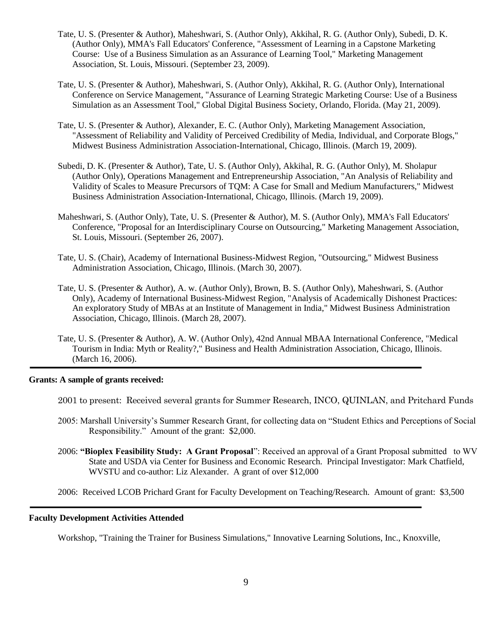- Tate, U. S. (Presenter & Author), Maheshwari, S. (Author Only), Akkihal, R. G. (Author Only), Subedi, D. K. (Author Only), MMA's Fall Educators' Conference, "Assessment of Learning in a Capstone Marketing Course: Use of a Business Simulation as an Assurance of Learning Tool," Marketing Management Association, St. Louis, Missouri. (September 23, 2009).
- Tate, U. S. (Presenter & Author), Maheshwari, S. (Author Only), Akkihal, R. G. (Author Only), International Conference on Service Management, "Assurance of Learning Strategic Marketing Course: Use of a Business Simulation as an Assessment Tool," Global Digital Business Society, Orlando, Florida. (May 21, 2009).
- Tate, U. S. (Presenter & Author), Alexander, E. C. (Author Only), Marketing Management Association, "Assessment of Reliability and Validity of Perceived Credibility of Media, Individual, and Corporate Blogs," Midwest Business Administration Association-International, Chicago, Illinois. (March 19, 2009).
- Subedi, D. K. (Presenter & Author), Tate, U. S. (Author Only), Akkihal, R. G. (Author Only), M. Sholapur (Author Only), Operations Management and Entrepreneurship Association, "An Analysis of Reliability and Validity of Scales to Measure Precursors of TQM: A Case for Small and Medium Manufacturers," Midwest Business Administration Association-International, Chicago, Illinois. (March 19, 2009).
- Maheshwari, S. (Author Only), Tate, U. S. (Presenter & Author), M. S. (Author Only), MMA's Fall Educators' Conference, "Proposal for an Interdisciplinary Course on Outsourcing," Marketing Management Association, St. Louis, Missouri. (September 26, 2007).
- Tate, U. S. (Chair), Academy of International Business-Midwest Region, "Outsourcing," Midwest Business Administration Association, Chicago, Illinois. (March 30, 2007).
- Tate, U. S. (Presenter & Author), A. w. (Author Only), Brown, B. S. (Author Only), Maheshwari, S. (Author Only), Academy of International Business-Midwest Region, "Analysis of Academically Dishonest Practices: An exploratory Study of MBAs at an Institute of Management in India," Midwest Business Administration Association, Chicago, Illinois. (March 28, 2007).
- Tate, U. S. (Presenter & Author), A. W. (Author Only), 42nd Annual MBAA International Conference, "Medical Tourism in India: Myth or Reality?," Business and Health Administration Association, Chicago, Illinois. (March 16, 2006).

#### **Grants: A sample of grants received:**

- 2001 to present: Received several grants for Summer Research, INCO, QUINLAN, and Pritchard Funds
- 2005: Marshall University's Summer Research Grant, for collecting data on "Student Ethics and Perceptions of Social Responsibility." Amount of the grant: \$2,000.
- 2006: **"Bioplex Feasibility Study: A Grant Proposal**": Received an approval of a Grant Proposal submitted to WV State and USDA via Center for Business and Economic Research. Principal Investigator: Mark Chatfield, WVSTU and co-author: Liz Alexander. A grant of over \$12,000

2006: Received LCOB Prichard Grant for Faculty Development on Teaching/Research. Amount of grant: \$3,500

## **Faculty Development Activities Attended**

Workshop, "Training the Trainer for Business Simulations," Innovative Learning Solutions, Inc., Knoxville,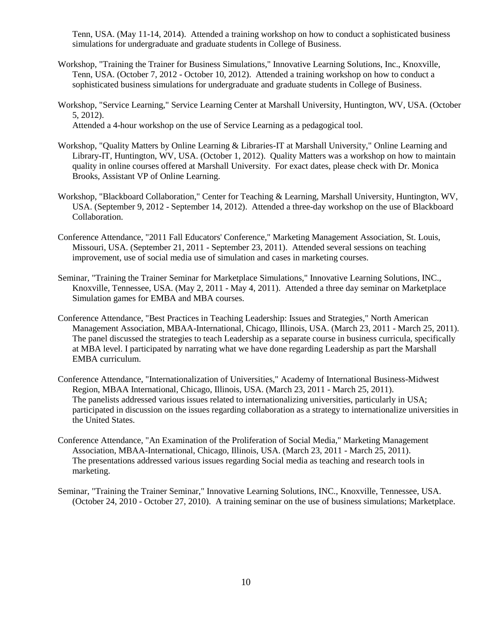Tenn, USA. (May 11-14, 2014). Attended a training workshop on how to conduct a sophisticated business simulations for undergraduate and graduate students in College of Business.

- Workshop, "Training the Trainer for Business Simulations," Innovative Learning Solutions, Inc., Knoxville, Tenn, USA. (October 7, 2012 - October 10, 2012). Attended a training workshop on how to conduct a sophisticated business simulations for undergraduate and graduate students in College of Business.
- Workshop, "Service Learning," Service Learning Center at Marshall University, Huntington, WV, USA. (October 5, 2012). Attended a 4-hour workshop on the use of Service Learning as a pedagogical tool.
	-
- Workshop, "Quality Matters by Online Learning & Libraries-IT at Marshall University," Online Learning and Library-IT, Huntington, WV, USA. (October 1, 2012). Quality Matters was a workshop on how to maintain quality in online courses offered at Marshall University. For exact dates, please check with Dr. Monica Brooks, Assistant VP of Online Learning.
- Workshop, "Blackboard Collaboration," Center for Teaching & Learning, Marshall University, Huntington, WV, USA. (September 9, 2012 - September 14, 2012). Attended a three-day workshop on the use of Blackboard Collaboration.
- Conference Attendance, "2011 Fall Educators' Conference," Marketing Management Association, St. Louis, Missouri, USA. (September 21, 2011 - September 23, 2011). Attended several sessions on teaching improvement, use of social media use of simulation and cases in marketing courses.
- Seminar, "Training the Trainer Seminar for Marketplace Simulations," Innovative Learning Solutions, INC., Knoxville, Tennessee, USA. (May 2, 2011 - May 4, 2011). Attended a three day seminar on Marketplace Simulation games for EMBA and MBA courses.
- Conference Attendance, "Best Practices in Teaching Leadership: Issues and Strategies," North American Management Association, MBAA-International, Chicago, Illinois, USA. (March 23, 2011 - March 25, 2011). The panel discussed the strategies to teach Leadership as a separate course in business curricula, specifically at MBA level. I participated by narrating what we have done regarding Leadership as part the Marshall EMBA curriculum.
- Conference Attendance, "Internationalization of Universities," Academy of International Business-Midwest Region, MBAA International, Chicago, Illinois, USA. (March 23, 2011 - March 25, 2011). The panelists addressed various issues related to internationalizing universities, particularly in USA; participated in discussion on the issues regarding collaboration as a strategy to internationalize universities in the United States.
- Conference Attendance, "An Examination of the Proliferation of Social Media," Marketing Management Association, MBAA-International, Chicago, Illinois, USA. (March 23, 2011 - March 25, 2011). The presentations addressed various issues regarding Social media as teaching and research tools in marketing.
- Seminar, "Training the Trainer Seminar," Innovative Learning Solutions, INC., Knoxville, Tennessee, USA. (October 24, 2010 - October 27, 2010). A training seminar on the use of business simulations; Marketplace.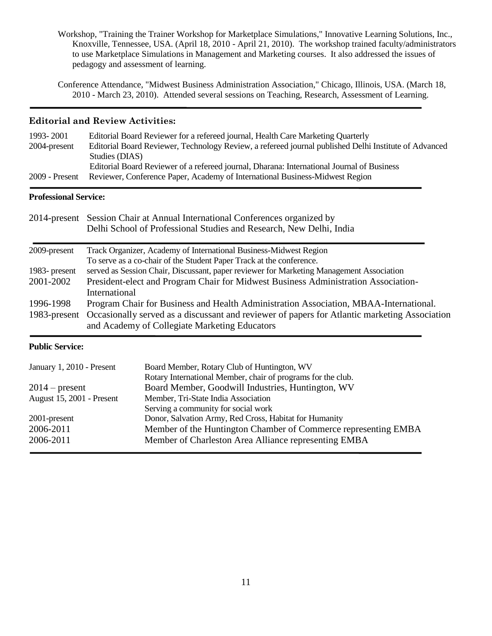Workshop, "Training the Trainer Workshop for Marketplace Simulations," Innovative Learning Solutions, Inc., Knoxville, Tennessee, USA. (April 18, 2010 - April 21, 2010). The workshop trained faculty/administrators to use Marketplace Simulations in Management and Marketing courses. It also addressed the issues of pedagogy and assessment of learning.

Conference Attendance, "Midwest Business Administration Association," Chicago, Illinois, USA. (March 18, 2010 - March 23, 2010). Attended several sessions on Teaching, Research, Assessment of Learning.

## **Editorial and Review Activities:**

| 1993-2001        | Editorial Board Reviewer for a refereed journal, Health Care Marketing Quarterly                      |
|------------------|-------------------------------------------------------------------------------------------------------|
| 2004-present     | Editorial Board Reviewer, Technology Review, a refereed journal published Delhi Institute of Advanced |
|                  | Studies (DIAS)                                                                                        |
|                  | Editorial Board Reviewer of a refereed journal, Dharana: International Journal of Business            |
| $2009$ - Present | Reviewer, Conference Paper, Academy of International Business-Midwest Region                          |
|                  |                                                                                                       |

## **Professional Service:**

|               | 2014-present Session Chair at Annual International Conferences organized by<br>Delhi School of Professional Studies and Research, New Delhi, India |
|---------------|----------------------------------------------------------------------------------------------------------------------------------------------------|
| 2009-present  | Track Organizer, Academy of International Business-Midwest Region                                                                                  |
|               | To serve as a co-chair of the Student Paper Track at the conference.                                                                               |
| 1983- present | served as Session Chair, Discussant, paper reviewer for Marketing Management Association                                                           |
| 2001-2002     | President-elect and Program Chair for Midwest Business Administration Association-                                                                 |
|               | International                                                                                                                                      |
| 1996-1998     | Program Chair for Business and Health Administration Association, MBAA-International.                                                              |
| 1983-present  | Occasionally served as a discussant and reviewer of papers for Atlantic marketing Association                                                      |
|               | and Academy of Collegiate Marketing Educators                                                                                                      |

## **Public Service:**

| January 1, 2010 - Present        | Board Member, Rotary Club of Huntington, WV                    |
|----------------------------------|----------------------------------------------------------------|
|                                  | Rotary International Member, chair of programs for the club.   |
| $2014$ – present                 | Board Member, Goodwill Industries, Huntington, WV              |
| <b>August 15, 2001 - Present</b> | Member, Tri-State India Association                            |
|                                  | Serving a community for social work                            |
| 2001-present                     | Donor, Salvation Army, Red Cross, Habitat for Humanity         |
| 2006-2011                        | Member of the Huntington Chamber of Commerce representing EMBA |
| 2006-2011                        | Member of Charleston Area Alliance representing EMBA           |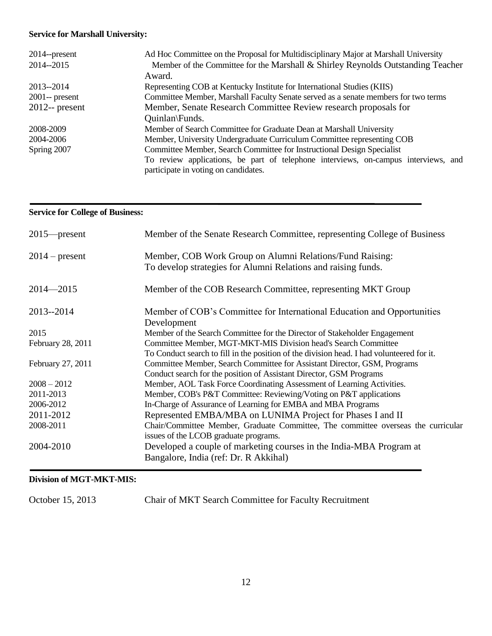# **Service for Marshall University:**

| $2014$ --present  | Ad Hoc Committee on the Proposal for Multidisciplinary Major at Marshall University                                        |
|-------------------|----------------------------------------------------------------------------------------------------------------------------|
| 2014--2015        | Member of the Committee for the Marshall & Shirley Reynolds Outstanding Teacher                                            |
|                   | Award.                                                                                                                     |
| 2013--2014        | Representing COB at Kentucky Institute for International Studies (KIIS)                                                    |
| $2001$ -- present | Committee Member, Marshall Faculty Senate served as a senate members for two terms                                         |
| $2012$ -- present | Member, Senate Research Committee Review research proposals for                                                            |
|                   | Quinlan\Funds.                                                                                                             |
| 2008-2009         | Member of Search Committee for Graduate Dean at Marshall University                                                        |
| 2004-2006         | Member, University Undergraduate Curriculum Committee representing COB                                                     |
| Spring 2007       | Committee Member, Search Committee for Instructional Design Specialist                                                     |
|                   | To review applications, be part of telephone interviews, on-campus interviews, and<br>participate in voting on candidates. |
|                   |                                                                                                                            |

## **Service for College of Business:**

| $2015$ -present   | Member of the Senate Research Committee, representing College of Business                                                  |  |
|-------------------|----------------------------------------------------------------------------------------------------------------------------|--|
| $2014$ – present  | Member, COB Work Group on Alumni Relations/Fund Raising:<br>To develop strategies for Alumni Relations and raising funds.  |  |
| $2014 - 2015$     | Member of the COB Research Committee, representing MKT Group                                                               |  |
| 2013--2014        | Member of COB's Committee for International Education and Opportunities<br>Development                                     |  |
| 2015              | Member of the Search Committee for the Director of Stakeholder Engagement                                                  |  |
| February 28, 2011 | Committee Member, MGT-MKT-MIS Division head's Search Committee                                                             |  |
|                   | To Conduct search to fill in the position of the division head. I had volunteered for it.                                  |  |
| February 27, 2011 | Committee Member, Search Committee for Assistant Director, GSM, Programs                                                   |  |
|                   | Conduct search for the position of Assistant Director, GSM Programs                                                        |  |
| $2008 - 2012$     | Member, AOL Task Force Coordinating Assessment of Learning Activities.                                                     |  |
| 2011-2013         | Member, COB's P&T Committee: Reviewing/Voting on P&T applications                                                          |  |
| 2006-2012         | In-Charge of Assurance of Learning for EMBA and MBA Programs                                                               |  |
| 2011-2012         | Represented EMBA/MBA on LUNIMA Project for Phases I and II                                                                 |  |
| 2008-2011         | Chair/Committee Member, Graduate Committee, The committee overseas the curricular<br>issues of the LCOB graduate programs. |  |
| 2004-2010         | Developed a couple of marketing courses in the India-MBA Program at<br>Bangalore, India (ref: Dr. R Akkihal)               |  |

# **Division of MGT-MKT-MIS:**

October 15, 2013 Chair of MKT Search Committee for Faculty Recruitment